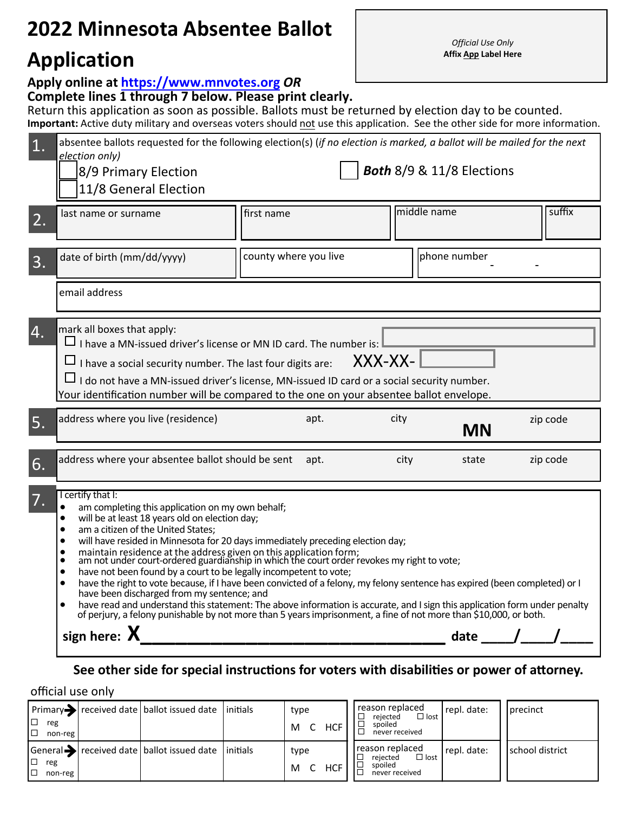# **2022 Minnesota Absentee Ballot**

## **Application**

*Official Use Only* **Affix App Label Here**

## **Apply online at https[://www.mnvotes.org](https://www.mnvotes.org)** *OR*

### **Complete lines 1 through 7 below. Please print clearly.**

Return this application as soon as possible. Ballots must be returned by election day to be counted. **Important:** Active duty military and overseas voters should not use this application. See the other side for more information.

| 1. | absentee ballots requested for the following election(s) (if no election is marked, a ballot will be mailed for the next<br>election only)                                                                                                                                                                                                                                                                                                                                                                                                                                                                                                                                                                                                                                                                                                                                                                                                                      |                       |      |                                      |              |          |
|----|-----------------------------------------------------------------------------------------------------------------------------------------------------------------------------------------------------------------------------------------------------------------------------------------------------------------------------------------------------------------------------------------------------------------------------------------------------------------------------------------------------------------------------------------------------------------------------------------------------------------------------------------------------------------------------------------------------------------------------------------------------------------------------------------------------------------------------------------------------------------------------------------------------------------------------------------------------------------|-----------------------|------|--------------------------------------|--------------|----------|
|    | 8/9 Primary Election<br>11/8 General Election                                                                                                                                                                                                                                                                                                                                                                                                                                                                                                                                                                                                                                                                                                                                                                                                                                                                                                                   |                       |      | <b>Both 8/9 &amp; 11/8 Elections</b> |              |          |
| 2. | last name or surname                                                                                                                                                                                                                                                                                                                                                                                                                                                                                                                                                                                                                                                                                                                                                                                                                                                                                                                                            | first name            |      | middle name                          |              | suffix   |
| 3. | date of birth (mm/dd/yyyy)                                                                                                                                                                                                                                                                                                                                                                                                                                                                                                                                                                                                                                                                                                                                                                                                                                                                                                                                      | county where you live |      |                                      | phone number |          |
|    | email address                                                                                                                                                                                                                                                                                                                                                                                                                                                                                                                                                                                                                                                                                                                                                                                                                                                                                                                                                   |                       |      |                                      |              |          |
| 4. | mark all boxes that apply:<br>$\Box$ I have a MN-issued driver's license or MN ID card. The number is:<br>$\Box$ I have a social security number. The last four digits are:<br>$\Box$ I do not have a MN-issued driver's license, MN-issued ID card or a social security number.<br>Your identification number will be compared to the one on your absentee ballot envelope.                                                                                                                                                                                                                                                                                                                                                                                                                                                                                                                                                                                    |                       |      | XXX-XX-                              |              |          |
| 5. | address where you live (residence)                                                                                                                                                                                                                                                                                                                                                                                                                                                                                                                                                                                                                                                                                                                                                                                                                                                                                                                              |                       | apt. | city                                 | <b>MN</b>    | zip code |
| 6. | address where your absentee ballot should be sent                                                                                                                                                                                                                                                                                                                                                                                                                                                                                                                                                                                                                                                                                                                                                                                                                                                                                                               |                       | apt. | city                                 | state        | zip code |
| 7. | I certify that I:<br>am completing this application on my own behalf;<br>will be at least 18 years old on election day;<br>am a citizen of the United States;<br>will have resided in Minnesota for 20 days immediately preceding election day;<br>maintain residence at the address given on this application form;<br>am not under court-ordered guardianship in which the court order revokes my right to vote;<br>٠<br>have not been found by a court to be legally incompetent to vote;<br>٠<br>have the right to vote because, if I have been convicted of a felony, my felony sentence has expired (been completed) or I<br>$\bullet$<br>have been discharged from my sentence; and<br>have read and understand this statement: The above information is accurate, and I sign this application form under penalty<br>of perjury, a felony punishable by not more than 5 years imprisonment, a fine of not more than \$10,000, or both.<br>sign here: $X$ |                       |      |                                      | date         |          |
|    | See other side for special instructions for voters with disabilities or power of attorney.                                                                                                                                                                                                                                                                                                                                                                                                                                                                                                                                                                                                                                                                                                                                                                                                                                                                      |                       |      |                                      |              |          |

### official use only

| ∣□<br>reg<br>םו<br>non-reg | $ Primary\rangle$ received date   ballot issued date   initials      | type<br>C HCF<br>M | reason replaced<br>$\Box$ lost<br>rejected<br>spoiled<br>دا<br>never received | repl. date: | <b>precinct</b> |
|----------------------------|----------------------------------------------------------------------|--------------------|-------------------------------------------------------------------------------|-------------|-----------------|
| reg<br>Ⅰ□<br>non-reg       | $\sqrt{\frac{1}{100}}$ received date   ballot issued date   initials | type<br>C HCF<br>M | reason replaced<br>$\Box$ lost<br>rejected<br>spoiled<br>never received       | repl. date: | school district |